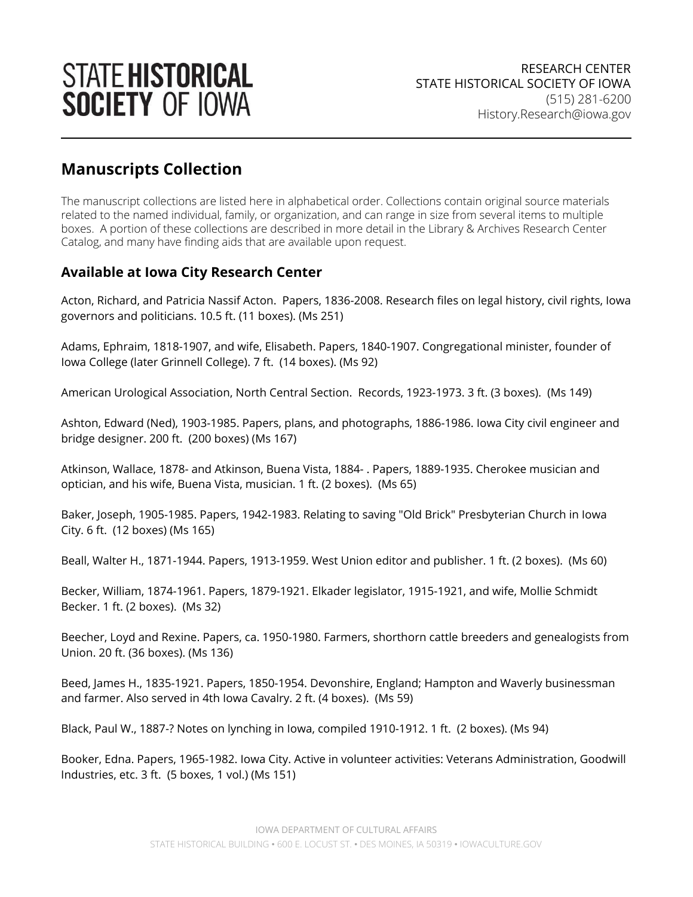

## **Manuscripts Collection**

 The manuscript collections are listed here in alphabetical order. Collections contain original source materials related to the named individual, family, or organization, and can range in size from several items to multiple boxes. A portion of these collections are described in more detail in the Library & Archives Research Center Catalog, and many have finding aids that are available upon request.

## **Available at Iowa City Research Center**

 Acton, Richard, and Patricia Nassif Acton. Papers, 1836-2008. Research files on legal history, civil rights, Iowa governors and politicians. 10.5 ft. (11 boxes). (Ms 251)

 Adams, Ephraim, 1818-1907, and wife, Elisabeth. Papers, 1840-1907. Congregational minister, founder of Iowa College (later Grinnell College). 7 ft. (14 boxes). (Ms 92)

American Urological Association, North Central Section. Records, 1923-1973. 3 ft. (3 boxes). (Ms 149)

 Ashton, Edward (Ned), 1903-1985. Papers, plans, and photographs, 1886-1986. Iowa City civil engineer and bridge designer. 200 ft. (200 boxes) (Ms 167)

 Atkinson, Wallace, 1878- and Atkinson, Buena Vista, 1884- . Papers, 1889-1935. Cherokee musician and optician, and his wife, Buena Vista, musician. 1 ft. (2 boxes). (Ms 65)

 Baker, Joseph, 1905-1985. Papers, 1942-1983. Relating to saving "Old Brick" Presbyterian Church in Iowa City. 6 ft. (12 boxes) (Ms 165)

Beall, Walter H., 1871-1944. Papers, 1913-1959. West Union editor and publisher. 1 ft. (2 boxes). (Ms 60)

 Becker, William, 1874-1961. Papers, 1879-1921. Elkader legislator, 1915-1921, and wife, Mollie Schmidt Becker. 1 ft. (2 boxes). (Ms 32)

 Beecher, Loyd and Rexine. Papers, ca. 1950-1980. Farmers, shorthorn cattle breeders and genealogists from Union. 20 ft. (36 boxes). (Ms 136)

 Beed, James H., 1835-1921. Papers, 1850-1954. Devonshire, England; Hampton and Waverly businessman and farmer. Also served in 4th Iowa Cavalry. 2 ft. (4 boxes). (Ms 59)

Black, Paul W., 1887-? Notes on lynching in Iowa, compiled 1910-1912. 1 ft. (2 boxes). (Ms 94)

 Booker, Edna. Papers, 1965-1982. Iowa City. Active in volunteer activities: Veterans Administration, Goodwill Industries, etc. 3 ft. (5 boxes, 1 vol.) (Ms 151)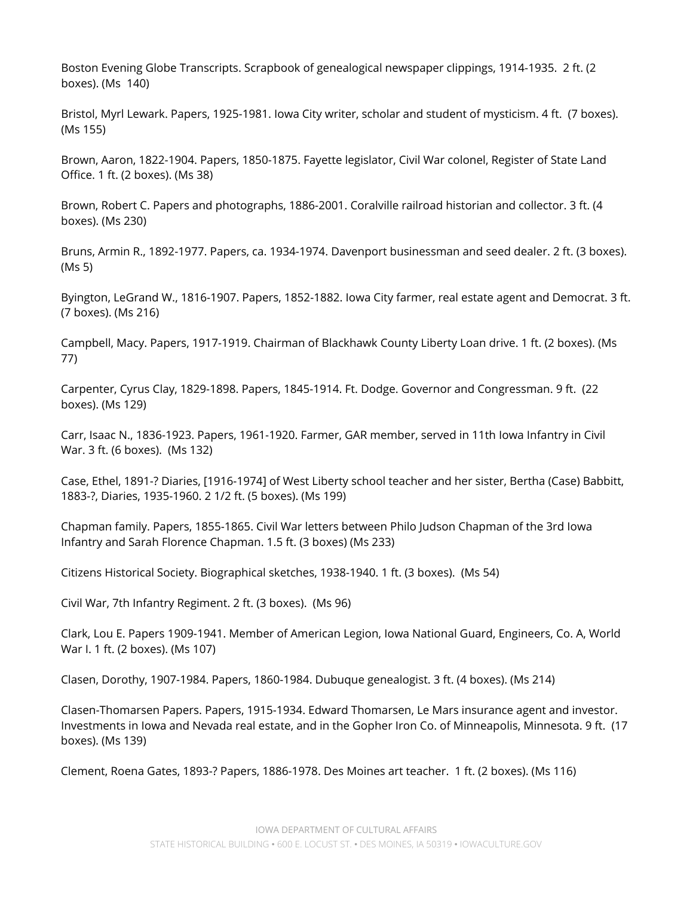Boston Evening Globe Transcripts. Scrapbook of genealogical newspaper clippings, 1914-1935. 2 ft. (2 boxes). (Ms 140)

 Bristol, Myrl Lewark. Papers, 1925-1981. Iowa City writer, scholar and student of mysticism. 4 ft. (7 boxes). (Ms 155)

 Brown, Aaron, 1822-1904. Papers, 1850-1875. Fayette legislator, Civil War colonel, Register of State Land Office. 1 ft. (2 boxes). (Ms 38)

 Brown, Robert C. Papers and photographs, 1886-2001. Coralville railroad historian and collector. 3 ft. (4 boxes). (Ms 230)

 Bruns, Armin R., 1892-1977. Papers, ca. 1934-1974. Davenport businessman and seed dealer. 2 ft. (3 boxes). (Ms 5)

 Byington, LeGrand W., 1816-1907. Papers, 1852-1882. Iowa City farmer, real estate agent and Democrat. 3 ft. (7 boxes). (Ms 216)

 Campbell, Macy. Papers, 1917-1919. Chairman of Blackhawk County Liberty Loan drive. 1 ft. (2 boxes). (Ms 77)

 Carpenter, Cyrus Clay, 1829-1898. Papers, 1845-1914. Ft. Dodge. Governor and Congressman. 9 ft. (22 boxes). (Ms 129)

 Carr, Isaac N., 1836-1923. Papers, 1961-1920. Farmer, GAR member, served in 11th Iowa Infantry in Civil War. 3 ft. (6 boxes). (Ms 132)

 Case, Ethel, 1891-? Diaries, [1916-1974] of West Liberty school teacher and her sister, Bertha (Case) Babbitt, 1883-?, Diaries, 1935-1960. 2 1/2 ft. (5 boxes). (Ms 199)

 Chapman family. Papers, 1855-1865. Civil War letters between Philo Judson Chapman of the 3rd Iowa Infantry and Sarah Florence Chapman. 1.5 ft. (3 boxes) (Ms 233)

Citizens Historical Society. Biographical sketches, 1938-1940. 1 ft. (3 boxes). (Ms 54)

Civil War, 7th Infantry Regiment. 2 ft. (3 boxes). (Ms 96)

 Clark, Lou E. Papers 1909-1941. Member of American Legion, Iowa National Guard, Engineers, Co. A, World War I. 1 ft. (2 boxes). (Ms 107)

Clasen, Dorothy, 1907-1984. Papers, 1860-1984. Dubuque genealogist. 3 ft. (4 boxes). (Ms 214)

 Clasen-Thomarsen Papers. Papers, 1915-1934. Edward Thomarsen, Le Mars insurance agent and investor. Investments in Iowa and Nevada real estate, and in the Gopher Iron Co. of Minneapolis, Minnesota. 9 ft. (17 boxes). (Ms 139)

Clement, Roena Gates, 1893-? Papers, 1886-1978. Des Moines art teacher. 1 ft. (2 boxes). (Ms 116)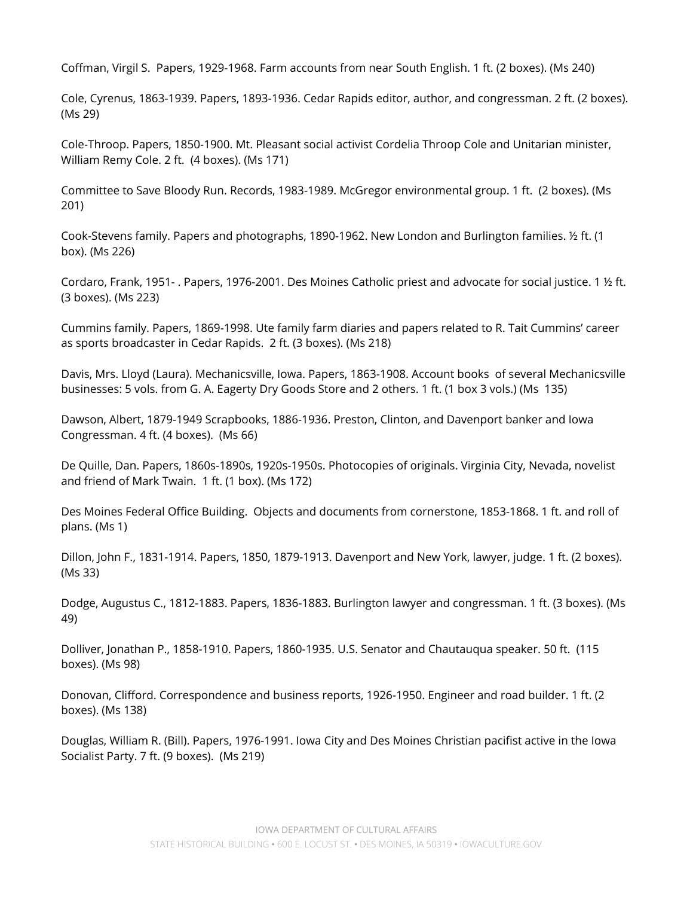Coffman, Virgil S. Papers, 1929-1968. Farm accounts from near South English. 1 ft. (2 boxes). (Ms 240)

 Cole, Cyrenus, 1863-1939. Papers, 1893-1936. Cedar Rapids editor, author, and congressman. 2 ft. (2 boxes). (Ms 29)

 Cole-Throop. Papers, 1850-1900. Mt. Pleasant social activist Cordelia Throop Cole and Unitarian minister, William Remy Cole. 2 ft. (4 boxes). (Ms 171)

 Committee to Save Bloody Run. Records, 1983-1989. McGregor environmental group. 1 ft. (2 boxes). (Ms 201)

 Cook-Stevens family. Papers and photographs, 1890-1962. New London and Burlington families. ½ ft. (1 box). (Ms 226)

 Cordaro, Frank, 1951- . Papers, 1976-2001. Des Moines Catholic priest and advocate for social justice. 1 ½ ft. (3 boxes). (Ms 223)

 Cummins family. Papers, 1869-1998. Ute family farm diaries and papers related to R. Tait Cummins' career as sports broadcaster in Cedar Rapids. 2 ft. (3 boxes). (Ms 218)

 Davis, Mrs. Lloyd (Laura). Mechanicsville, Iowa. Papers, 1863-1908. Account books of several Mechanicsville businesses: 5 vols. from G. A. Eagerty Dry Goods Store and 2 others. 1 ft. (1 box 3 vols.) (Ms 135)

 Dawson, Albert, 1879-1949 Scrapbooks, 1886-1936. Preston, Clinton, and Davenport banker and Iowa Congressman. 4 ft. (4 boxes). (Ms 66)

 De Quille, Dan. Papers, 1860s-1890s, 1920s-1950s. Photocopies of originals. Virginia City, Nevada, novelist and friend of Mark Twain. 1 ft. (1 box). (Ms 172)

 Des Moines Federal Office Building. Objects and documents from cornerstone, 1853-1868. 1 ft. and roll of plans. (Ms 1)

 Dillon, John F., 1831-1914. Papers, 1850, 1879-1913. Davenport and New York, lawyer, judge. 1 ft. (2 boxes). (Ms 33)

 Dodge, Augustus C., 1812-1883. Papers, 1836-1883. Burlington lawyer and congressman. 1 ft. (3 boxes). (Ms 49)

 Dolliver, Jonathan P., 1858-1910. Papers, 1860-1935. U.S. Senator and Chautauqua speaker. 50 ft. (115 boxes). (Ms 98)

 Donovan, Clifford. Correspondence and business reports, 1926-1950. Engineer and road builder. 1 ft. (2 boxes). (Ms 138)

 Douglas, William R. (Bill). Papers, 1976-1991. Iowa City and Des Moines Christian pacifist active in the Iowa Socialist Party. 7 ft. (9 boxes). (Ms 219)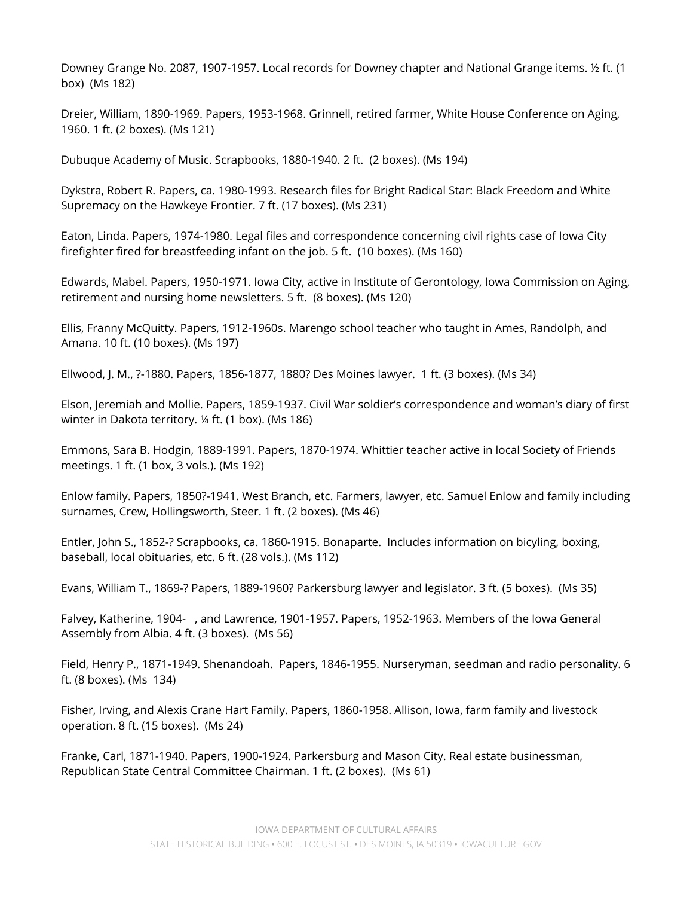Downey Grange No. 2087, 1907-1957. Local records for Downey chapter and National Grange items. ½ ft. (1 box) (Ms 182)

 Dreier, William, 1890-1969. Papers, 1953-1968. Grinnell, retired farmer, White House Conference on Aging, 1960. 1 ft. (2 boxes). (Ms 121)

Dubuque Academy of Music. Scrapbooks, 1880-1940. 2 ft. (2 boxes). (Ms 194)

 Dykstra, Robert R. Papers, ca. 1980-1993. Research files for Bright Radical Star: Black Freedom and White Supremacy on the Hawkeye Frontier. 7 ft. (17 boxes). (Ms 231)

 Eaton, Linda. Papers, 1974-1980. Legal files and correspondence concerning civil rights case of Iowa City firefighter fired for breastfeeding infant on the job. 5 ft. (10 boxes). (Ms 160)

 Edwards, Mabel. Papers, 1950-1971. Iowa City, active in Institute of Gerontology, Iowa Commission on Aging, retirement and nursing home newsletters. 5 ft. (8 boxes). (Ms 120)

 Ellis, Franny McQuitty. Papers, 1912-1960s. Marengo school teacher who taught in Ames, Randolph, and Amana. 10 ft. (10 boxes). (Ms 197)

Ellwood, J. M., ?-1880. Papers, 1856-1877, 1880? Des Moines lawyer. 1 ft. (3 boxes). (Ms 34)

 Elson, Jeremiah and Mollie. Papers, 1859-1937. Civil War soldier's correspondence and woman's diary of first winter in Dakota territory. ¼ ft. (1 box). (Ms 186)

 Emmons, Sara B. Hodgin, 1889-1991. Papers, 1870-1974. Whittier teacher active in local Society of Friends meetings. 1 ft. (1 box, 3 vols.). (Ms 192)

 Enlow family. Papers, 1850?-1941. West Branch, etc. Farmers, lawyer, etc. Samuel Enlow and family including surnames, Crew, Hollingsworth, Steer. 1 ft. (2 boxes). (Ms 46)

 Entler, John S., 1852-? Scrapbooks, ca. 1860-1915. Bonaparte. Includes information on bicyling, boxing, baseball, local obituaries, etc. 6 ft. (28 vols.). (Ms 112)

Evans, William T., 1869-? Papers, 1889-1960? Parkersburg lawyer and legislator. 3 ft. (5 boxes). (Ms 35)

 Falvey, Katherine, 1904- , and Lawrence, 1901-1957. Papers, 1952-1963. Members of the Iowa General Assembly from Albia. 4 ft. (3 boxes). (Ms 56)

 Field, Henry P., 1871-1949. Shenandoah. Papers, 1846-1955. Nurseryman, seedman and radio personality. 6 ft. (8 boxes). (Ms 134)

 Fisher, Irving, and Alexis Crane Hart Family. Papers, 1860-1958. Allison, Iowa, farm family and livestock operation. 8 ft. (15 boxes). (Ms 24)

 Franke, Carl, 1871-1940. Papers, 1900-1924. Parkersburg and Mason City. Real estate businessman, Republican State Central Committee Chairman. 1 ft. (2 boxes). (Ms 61)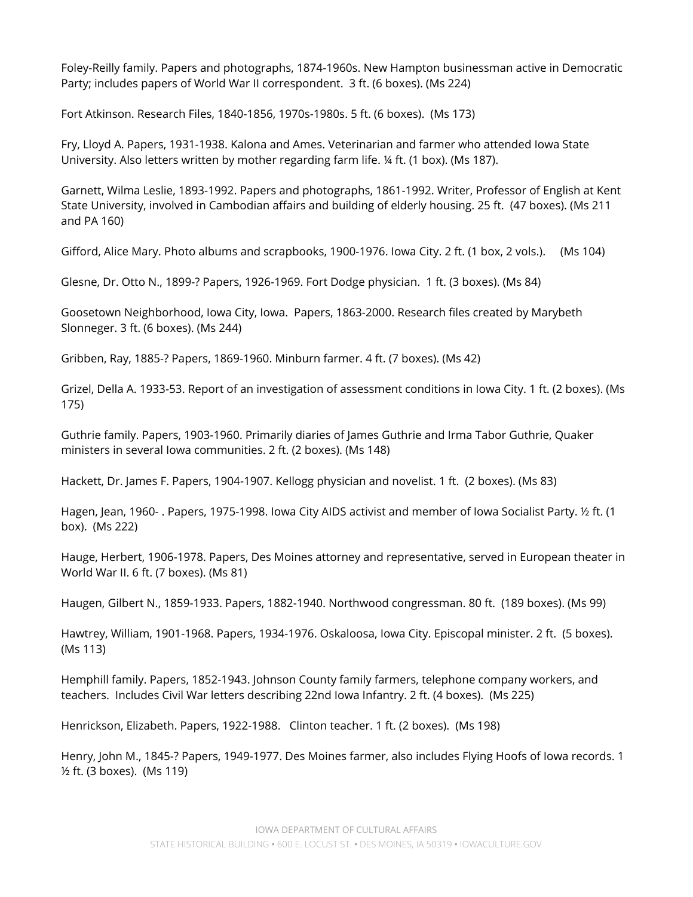Foley-Reilly family. Papers and photographs, 1874-1960s. New Hampton businessman active in Democratic Party; includes papers of World War II correspondent. 3 ft. (6 boxes). (Ms 224)

Fort Atkinson. Research Files, 1840-1856, 1970s-1980s. 5 ft. (6 boxes). (Ms 173)

 Fry, Lloyd A. Papers, 1931-1938. Kalona and Ames. Veterinarian and farmer who attended Iowa State University. Also letters written by mother regarding farm life. ¼ ft. (1 box). (Ms 187).

 Garnett, Wilma Leslie, 1893-1992. Papers and photographs, 1861-1992. Writer, Professor of English at Kent State University, involved in Cambodian affairs and building of elderly housing. 25 ft. (47 boxes). (Ms 211 and PA 160)

Gifford, Alice Mary. Photo albums and scrapbooks, 1900-1976. Iowa City. 2 ft. (1 box, 2 vols.). (Ms 104)

Glesne, Dr. Otto N., 1899-? Papers, 1926-1969. Fort Dodge physician. 1 ft. (3 boxes). (Ms 84)

 Goosetown Neighborhood, Iowa City, Iowa. Papers, 1863-2000. Research files created by Marybeth Slonneger. 3 ft. (6 boxes). (Ms 244)

Gribben, Ray, 1885-? Papers, 1869-1960. Minburn farmer. 4 ft. (7 boxes). (Ms 42)

 Grizel, Della A. 1933-53. Report of an investigation of assessment conditions in Iowa City. 1 ft. (2 boxes). (Ms 175)

 Guthrie family. Papers, 1903-1960. Primarily diaries of James Guthrie and Irma Tabor Guthrie, Quaker ministers in several Iowa communities. 2 ft. (2 boxes). (Ms 148)

Hackett, Dr. James F. Papers, 1904-1907. Kellogg physician and novelist. 1 ft. (2 boxes). (Ms 83)

 Hagen, Jean, 1960- . Papers, 1975-1998. Iowa City AIDS activist and member of Iowa Socialist Party. ½ ft. (1 box). (Ms 222)

 Hauge, Herbert, 1906-1978. Papers, Des Moines attorney and representative, served in European theater in World War II. 6 ft. (7 boxes). (Ms 81)

Haugen, Gilbert N., 1859-1933. Papers, 1882-1940. Northwood congressman. 80 ft. (189 boxes). (Ms 99)

 Hawtrey, William, 1901-1968. Papers, 1934-1976. Oskaloosa, Iowa City. Episcopal minister. 2 ft. (5 boxes). (Ms 113)

 Hemphill family. Papers, 1852-1943. Johnson County family farmers, telephone company workers, and teachers. Includes Civil War letters describing 22nd Iowa Infantry. 2 ft. (4 boxes). (Ms 225)

Henrickson, Elizabeth. Papers, 1922-1988. Clinton teacher. 1 ft. (2 boxes). (Ms 198)

 Henry, John M., 1845-? Papers, 1949-1977. Des Moines farmer, also includes Flying Hoofs of Iowa records. 1 ½ ft. (3 boxes). (Ms 119)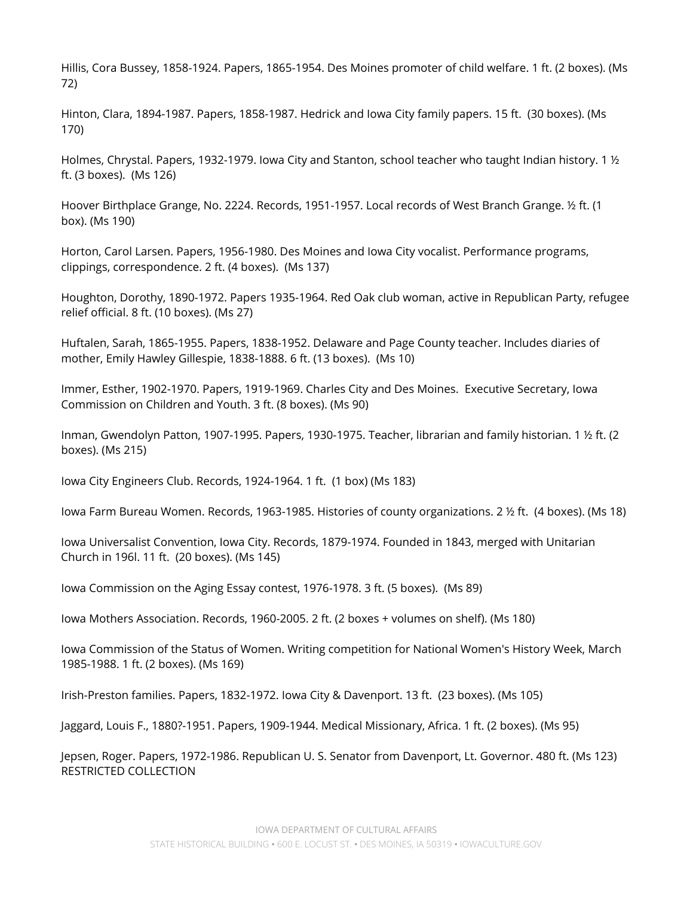Hillis, Cora Bussey, 1858-1924. Papers, 1865-1954. Des Moines promoter of child welfare. 1 ft. (2 boxes). (Ms 72)

 Hinton, Clara, 1894-1987. Papers, 1858-1987. Hedrick and Iowa City family papers. 15 ft. (30 boxes). (Ms 170)

Holmes, Chrystal. Papers, 1932-1979. Iowa City and Stanton, school teacher who taught Indian history. 1 ½  $\,$ ft. (3 boxes). (Ms 126)

 Hoover Birthplace Grange, No. 2224. Records, 1951-1957. Local records of West Branch Grange. ½ ft. (1 box). (Ms 190)

 Horton, Carol Larsen. Papers, 1956-1980. Des Moines and Iowa City vocalist. Performance programs, clippings, correspondence. 2 ft. (4 boxes). (Ms 137)

 Houghton, Dorothy, 1890-1972. Papers 1935-1964. Red Oak club woman, active in Republican Party, refugee relief official. 8 ft. (10 boxes). (Ms 27)

 Huftalen, Sarah, 1865-1955. Papers, 1838-1952. Delaware and Page County teacher. Includes diaries of mother, Emily Hawley Gillespie, 1838-1888. 6 ft. (13 boxes). (Ms 10)

 Immer, Esther, 1902-1970. Papers, 1919-1969. Charles City and Des Moines. Executive Secretary, Iowa Commission on Children and Youth. 3 ft. (8 boxes). (Ms 90)

 Inman, Gwendolyn Patton, 1907-1995. Papers, 1930-1975. Teacher, librarian and family historian. 1 ½ ft. (2 boxes). (Ms 215)

Iowa City Engineers Club. Records, 1924-1964. 1 ft. (1 box) (Ms 183)

Iowa Farm Bureau Women. Records, 1963-1985. Histories of county organizations. 2 ½ ft. (4 boxes). (Ms 18)

 Iowa Universalist Convention, Iowa City. Records, 1879-1974. Founded in 1843, merged with Unitarian Church in 196l. 11 ft. (20 boxes). (Ms 145)

Iowa Commission on the Aging Essay contest, 1976-1978. 3 ft. (5 boxes). (Ms 89)

Iowa Mothers Association. Records, 1960-2005. 2 ft. (2 boxes + volumes on shelf). (Ms 180)

 Iowa Commission of the Status of Women. Writing competition for National Women's History Week, March 1985-1988. 1 ft. (2 boxes). (Ms 169)

Irish-Preston families. Papers, 1832-1972. Iowa City & Davenport. 13 ft. (23 boxes). (Ms 105)

Jaggard, Louis F., 1880?-1951. Papers, 1909-1944. Medical Missionary, Africa. 1 ft. (2 boxes). (Ms 95)

 Jepsen, Roger. Papers, 1972-1986. Republican U. S. Senator from Davenport, Lt. Governor. 480 ft. (Ms 123) RESTRICTED COLLECTION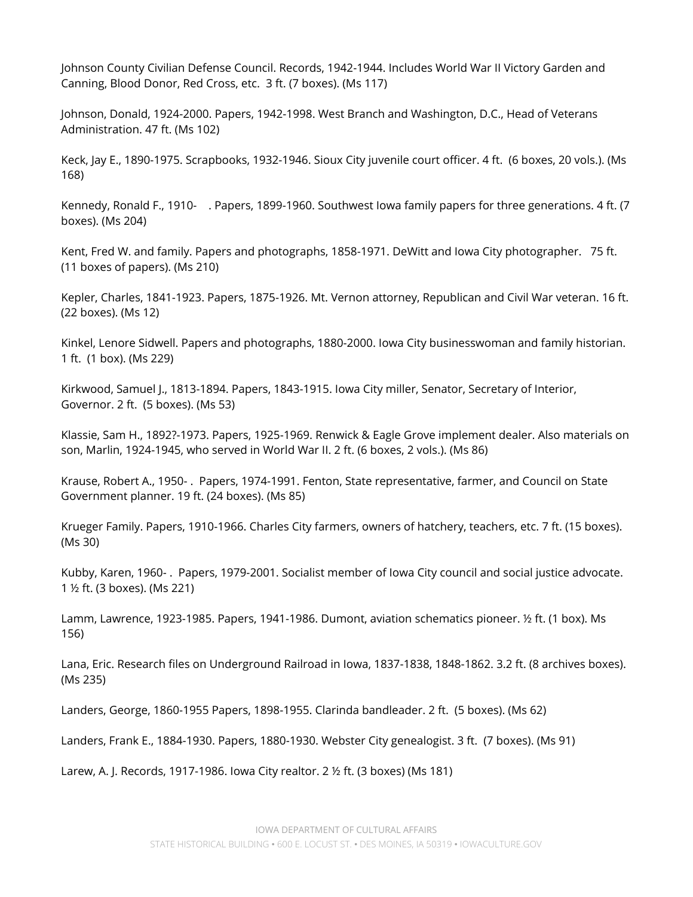Johnson County Civilian Defense Council. Records, 1942-1944. Includes World War II Victory Garden and Canning, Blood Donor, Red Cross, etc. 3 ft. (7 boxes). (Ms 117)

 Johnson, Donald, 1924-2000. Papers, 1942-1998. West Branch and Washington, D.C., Head of Veterans Administration. 47 ft. (Ms 102)

 Keck, Jay E., 1890-1975. Scrapbooks, 1932-1946. Sioux City juvenile court officer. 4 ft. (6 boxes, 20 vols.). (Ms 168)

 Kennedy, Ronald F., 1910- . Papers, 1899-1960. Southwest Iowa family papers for three generations. 4 ft. (7 boxes). (Ms 204)

 Kent, Fred W. and family. Papers and photographs, 1858-1971. DeWitt and Iowa City photographer. 75 ft. (11 boxes of papers). (Ms 210)

 Kepler, Charles, 1841-1923. Papers, 1875-1926. Mt. Vernon attorney, Republican and Civil War veteran. 16 ft. (22 boxes). (Ms 12)

 Kinkel, Lenore Sidwell. Papers and photographs, 1880-2000. Iowa City businesswoman and family historian. 1 ft. (1 box). (Ms 229)

 Kirkwood, Samuel J., 1813-1894. Papers, 1843-1915. Iowa City miller, Senator, Secretary of Interior, Governor. 2 ft. (5 boxes). (Ms 53)

 Klassie, Sam H., 1892?-1973. Papers, 1925-1969. Renwick & Eagle Grove implement dealer. Also materials on son, Marlin, 1924-1945, who served in World War II. 2 ft. (6 boxes, 2 vols.). (Ms 86)

 Krause, Robert A., 1950- . Papers, 1974-1991. Fenton, State representative, farmer, and Council on State Government planner. 19 ft. (24 boxes). (Ms 85)

 Krueger Family. Papers, 1910-1966. Charles City farmers, owners of hatchery, teachers, etc. 7 ft. (15 boxes). (Ms 30)

 Kubby, Karen, 1960- . Papers, 1979-2001. Socialist member of Iowa City council and social justice advocate. 1 ½ ft. (3 boxes). (Ms 221)

 Lamm, Lawrence, 1923-1985. Papers, 1941-1986. Dumont, aviation schematics pioneer. ½ ft. (1 box). Ms 156)

 Lana, Eric. Research files on Underground Railroad in Iowa, 1837-1838, 1848-1862. 3.2 ft. (8 archives boxes). (Ms 235)

Landers, George, 1860-1955 Papers, 1898-1955. Clarinda bandleader. 2 ft. (5 boxes). (Ms 62)

Landers, Frank E., 1884-1930. Papers, 1880-1930. Webster City genealogist. 3 ft. (7 boxes). (Ms 91)

Larew, A. J. Records, 1917-1986. Iowa City realtor. 2 ½ ft. (3 boxes) (Ms 181)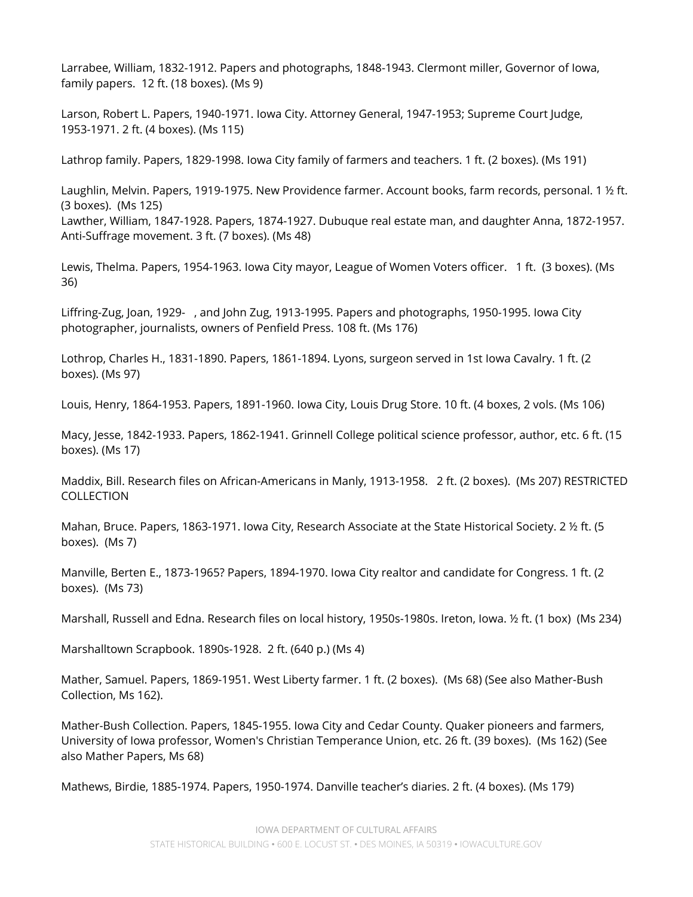Larrabee, William, 1832-1912. Papers and photographs, 1848-1943. Clermont miller, Governor of Iowa, family papers. 12 ft. (18 boxes). (Ms 9)

 Larson, Robert L. Papers, 1940-1971. Iowa City. Attorney General, 1947-1953; Supreme Court Judge, 1953-1971. 2 ft. (4 boxes). (Ms 115)

Lathrop family. Papers, 1829-1998. Iowa City family of farmers and teachers. 1 ft. (2 boxes). (Ms 191)

 Laughlin, Melvin. Papers, 1919-1975. New Providence farmer. Account books, farm records, personal. 1 ½ ft. (3 boxes). (Ms 125)

 Lawther, William, 1847-1928. Papers, 1874-1927. Dubuque real estate man, and daughter Anna, 1872-1957. Anti-Suffrage movement. 3 ft. (7 boxes). (Ms 48)

 Lewis, Thelma. Papers, 1954-1963. Iowa City mayor, League of Women Voters officer. 1 ft. (3 boxes). (Ms 36)

 Liffring-Zug, Joan, 1929- , and John Zug, 1913-1995. Papers and photographs, 1950-1995. Iowa City photographer, journalists, owners of Penfield Press. 108 ft. (Ms 176)

 Lothrop, Charles H., 1831-1890. Papers, 1861-1894. Lyons, surgeon served in 1st Iowa Cavalry. 1 ft. (2 boxes). (Ms 97)

Louis, Henry, 1864-1953. Papers, 1891-1960. Iowa City, Louis Drug Store. 10 ft. (4 boxes, 2 vols. (Ms 106)

 Macy, Jesse, 1842-1933. Papers, 1862-1941. Grinnell College political science professor, author, etc. 6 ft. (15 boxes). (Ms 17)

 Maddix, Bill. Research files on African-Americans in Manly, 1913-1958. 2 ft. (2 boxes). (Ms 207) RESTRICTED COLLECTION

 Mahan, Bruce. Papers, 1863-1971. Iowa City, Research Associate at the State Historical Society. 2 ½ ft. (5 boxes). (Ms 7)

 Manville, Berten E., 1873-1965? Papers, 1894-1970. Iowa City realtor and candidate for Congress. 1 ft. (2 boxes). (Ms 73)

Marshall, Russell and Edna. Research files on local history, 1950s-1980s. Ireton, Iowa. ½ ft. (1 box) (Ms 234)

Marshalltown Scrapbook. 1890s-1928. 2 ft. (640 p.) (Ms 4)

 Mather, Samuel. Papers, 1869-1951. West Liberty farmer. 1 ft. (2 boxes). (Ms 68) (See also Mather-Bush Collection, Ms 162).

 Mather-Bush Collection. Papers, 1845-1955. Iowa City and Cedar County. Quaker pioneers and farmers, University of Iowa professor, Women's Christian Temperance Union, etc. 26 ft. (39 boxes). (Ms 162) (See also Mather Papers, Ms 68)

Mathews, Birdie, 1885-1974. Papers, 1950-1974. Danville teacher's diaries. 2 ft. (4 boxes). (Ms 179)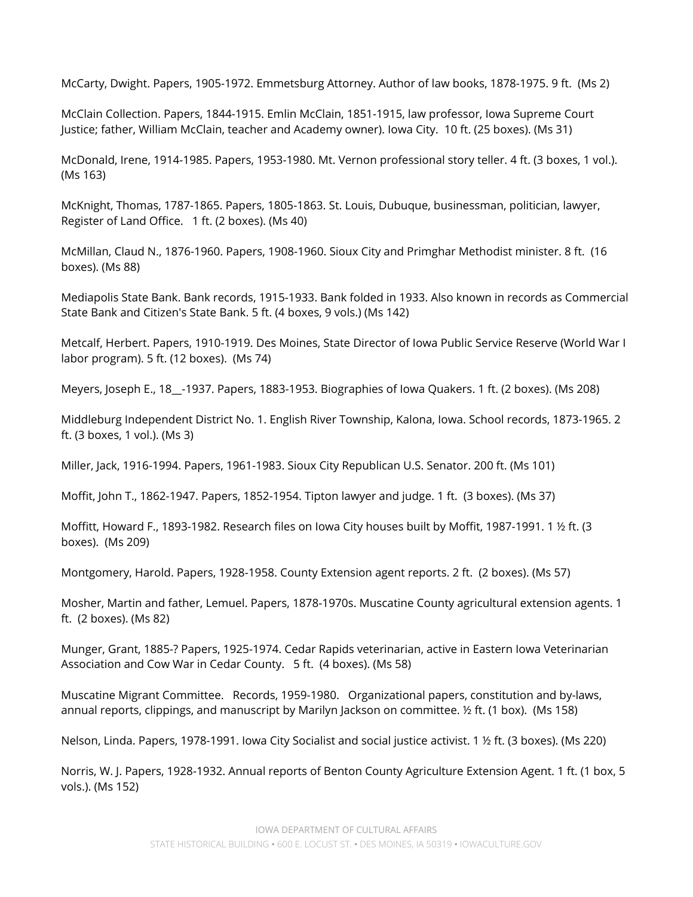McCarty, Dwight. Papers, 1905-1972. Emmetsburg Attorney. Author of law books, 1878-1975. 9 ft. (Ms 2)

 McClain Collection. Papers, 1844-1915. Emlin McClain, 1851-1915, law professor, Iowa Supreme Court Justice; father, William McClain, teacher and Academy owner). Iowa City. 10 ft. (25 boxes). (Ms 31)

 McDonald, Irene, 1914-1985. Papers, 1953-1980. Mt. Vernon professional story teller. 4 ft. (3 boxes, 1 vol.). (Ms 163)

 McKnight, Thomas, 1787-1865. Papers, 1805-1863. St. Louis, Dubuque, businessman, politician, lawyer, Register of Land Office. 1 ft. (2 boxes). (Ms 40)

 McMillan, Claud N., 1876-1960. Papers, 1908-1960. Sioux City and Primghar Methodist minister. 8 ft. (16 boxes). (Ms 88)

 Mediapolis State Bank. Bank records, 1915-1933. Bank folded in 1933. Also known in records as Commercial State Bank and Citizen's State Bank. 5 ft. (4 boxes, 9 vols.) (Ms 142)

 Metcalf, Herbert. Papers, 1910-1919. Des Moines, State Director of Iowa Public Service Reserve (World War I labor program). 5 ft. (12 boxes). (Ms 74)

Meyers, Joseph E., 18\_\_-1937. Papers, 1883-1953. Biographies of Iowa Quakers. 1 ft. (2 boxes). (Ms 208)

 Middleburg Independent District No. 1. English River Township, Kalona, Iowa. School records, 1873-1965. 2 ft. (3 boxes, 1 vol.). (Ms 3)

Miller, Jack, 1916-1994. Papers, 1961-1983. Sioux City Republican U.S. Senator. 200 ft. (Ms 101)

Moffit, John T., 1862-1947. Papers, 1852-1954. Tipton lawyer and judge. 1 ft. (3 boxes). (Ms 37)

 Moffitt, Howard F., 1893-1982. Research files on Iowa City houses built by Moffit, 1987-1991. 1 ½ ft. (3 boxes). (Ms 209)

Montgomery, Harold. Papers, 1928-1958. County Extension agent reports. 2 ft. (2 boxes). (Ms 57)

 Mosher, Martin and father, Lemuel. Papers, 1878-1970s. Muscatine County agricultural extension agents. 1 ft. (2 boxes). (Ms 82)

 Munger, Grant, 1885-? Papers, 1925-1974. Cedar Rapids veterinarian, active in Eastern Iowa Veterinarian Association and Cow War in Cedar County. 5 ft. (4 boxes). (Ms 58)

 Muscatine Migrant Committee. Records, 1959-1980. Organizational papers, constitution and by-laws, annual reports, clippings, and manuscript by Marilyn Jackson on committee. ½ ft. (1 box). (Ms 158)

Nelson, Linda. Papers, 1978-1991. Iowa City Socialist and social justice activist. 1 ½ ft. (3 boxes). (Ms 220)

 Norris, W. J. Papers, 1928-1932. Annual reports of Benton County Agriculture Extension Agent. 1 ft. (1 box, 5 vols.). (Ms 152)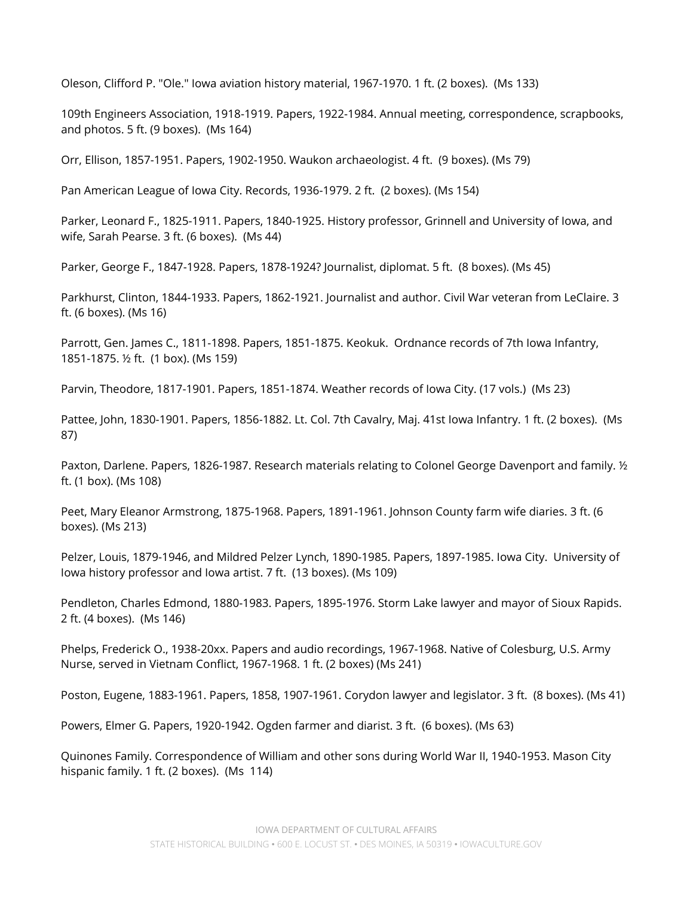Oleson, Clifford P. "Ole." Iowa aviation history material, 1967-1970. 1 ft. (2 boxes). (Ms 133)

 109th Engineers Association, 1918-1919. Papers, 1922-1984. Annual meeting, correspondence, scrapbooks, and photos. 5 ft. (9 boxes). (Ms 164)

Orr, Ellison, 1857-1951. Papers, 1902-1950. Waukon archaeologist. 4 ft. (9 boxes). (Ms 79)

Pan American League of Iowa City. Records, 1936-1979. 2 ft. (2 boxes). (Ms 154)

 Parker, Leonard F., 1825-1911. Papers, 1840-1925. History professor, Grinnell and University of Iowa, and wife, Sarah Pearse. 3 ft. (6 boxes). (Ms 44)

Parker, George F., 1847-1928. Papers, 1878-1924? Journalist, diplomat. 5 ft. (8 boxes). (Ms 45)

 Parkhurst, Clinton, 1844-1933. Papers, 1862-1921. Journalist and author. Civil War veteran from LeClaire. 3 ft. (6 boxes). (Ms 16)

 Parrott, Gen. James C., 1811-1898. Papers, 1851-1875. Keokuk. Ordnance records of 7th Iowa Infantry, 1851-1875. ½ ft. (1 box). (Ms 159)

Parvin, Theodore, 1817-1901. Papers, 1851-1874. Weather records of Iowa City. (17 vols.) (Ms 23)

 Pattee, John, 1830-1901. Papers, 1856-1882. Lt. Col. 7th Cavalry, Maj. 41st Iowa Infantry. 1 ft. (2 boxes). (Ms 87)

 Paxton, Darlene. Papers, 1826-1987. Research materials relating to Colonel George Davenport and family. ½ ft. (1 box). (Ms 108)

 Peet, Mary Eleanor Armstrong, 1875-1968. Papers, 1891-1961. Johnson County farm wife diaries. 3 ft. (6 boxes). (Ms 213)

 Pelzer, Louis, 1879-1946, and Mildred Pelzer Lynch, 1890-1985. Papers, 1897-1985. Iowa City. University of Iowa history professor and Iowa artist. 7 ft. (13 boxes). (Ms 109)

 Pendleton, Charles Edmond, 1880-1983. Papers, 1895-1976. Storm Lake lawyer and mayor of Sioux Rapids. 2 ft. (4 boxes). (Ms 146)

 Phelps, Frederick O., 1938-20xx. Papers and audio recordings, 1967-1968. Native of Colesburg, U.S. Army Nurse, served in Vietnam Conflict, 1967-1968. 1 ft. (2 boxes) (Ms 241)

Poston, Eugene, 1883-1961. Papers, 1858, 1907-1961. Corydon lawyer and legislator. 3 ft. (8 boxes). (Ms 41)

Powers, Elmer G. Papers, 1920-1942. Ogden farmer and diarist. 3 ft. (6 boxes). (Ms 63)

 Quinones Family. Correspondence of William and other sons during World War II, 1940-1953. Mason City hispanic family. 1 ft. (2 boxes). (Ms 114)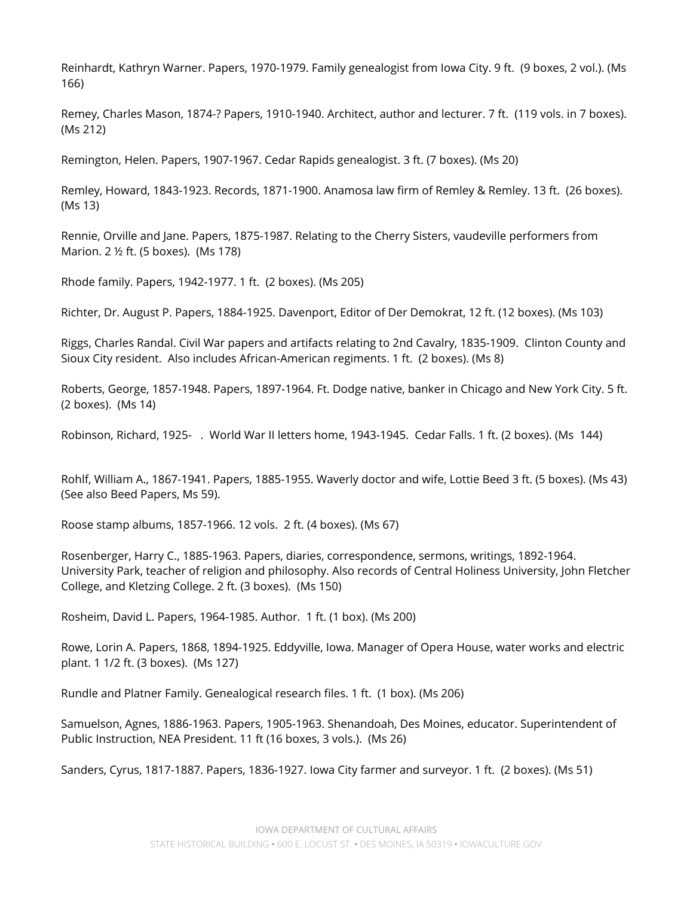Reinhardt, Kathryn Warner. Papers, 1970-1979. Family genealogist from Iowa City. 9 ft. (9 boxes, 2 vol.). (Ms 166)

 Remey, Charles Mason, 1874-? Papers, 1910-1940. Architect, author and lecturer. 7 ft. (119 vols. in 7 boxes). (Ms 212)

Remington, Helen. Papers, 1907-1967. Cedar Rapids genealogist. 3 ft. (7 boxes). (Ms 20)

 Remley, Howard, 1843-1923. Records, 1871-1900. Anamosa law firm of Remley & Remley. 13 ft. (26 boxes). (Ms 13)

 Rennie, Orville and Jane. Papers, 1875-1987. Relating to the Cherry Sisters, vaudeville performers from Marion. 2 ½ ft. (5 boxes). (Ms 178)

Rhode family. Papers, 1942-1977. 1 ft. (2 boxes). (Ms 205)

Richter, Dr. August P. Papers, 1884-1925. Davenport, Editor of Der Demokrat, 12 ft. (12 boxes). (Ms 103)

 Riggs, Charles Randal. Civil War papers and artifacts relating to 2nd Cavalry, 1835-1909. Clinton County and Sioux City resident. Also includes African-American regiments. 1 ft. (2 boxes). (Ms 8)

 Roberts, George, 1857-1948. Papers, 1897-1964. Ft. Dodge native, banker in Chicago and New York City. 5 ft. (2 boxes). (Ms 14)

Robinson, Richard, 1925- . World War II letters home, 1943-1945. Cedar Falls. 1 ft. (2 boxes). (Ms 144)

 Rohlf, William A., 1867-1941. Papers, 1885-1955. Waverly doctor and wife, Lottie Beed 3 ft. (5 boxes). (Ms 43) (See also Beed Papers, Ms 59).

Roose stamp albums, 1857-1966. 12 vols. 2 ft. (4 boxes). (Ms 67)

 Rosenberger, Harry C., 1885-1963. Papers, diaries, correspondence, sermons, writings, 1892-1964. University Park, teacher of religion and philosophy. Also records of Central Holiness University, John Fletcher College, and Kletzing College. 2 ft. (3 boxes). (Ms 150)

Rosheim, David L. Papers, 1964-1985. Author. 1 ft. (1 box). (Ms 200)

 Rowe, Lorin A. Papers, 1868, 1894-1925. Eddyville, Iowa. Manager of Opera House, water works and electric plant. 1 1/2 ft. (3 boxes). (Ms 127)

Rundle and Platner Family. Genealogical research files. 1 ft. (1 box). (Ms 206)

 Samuelson, Agnes, 1886-1963. Papers, 1905-1963. Shenandoah, Des Moines, educator. Superintendent of Public Instruction, NEA President. 11 ft (16 boxes, 3 vols.). (Ms 26)

Sanders, Cyrus, 1817-1887. Papers, 1836-1927. Iowa City farmer and surveyor. 1 ft. (2 boxes). (Ms 51)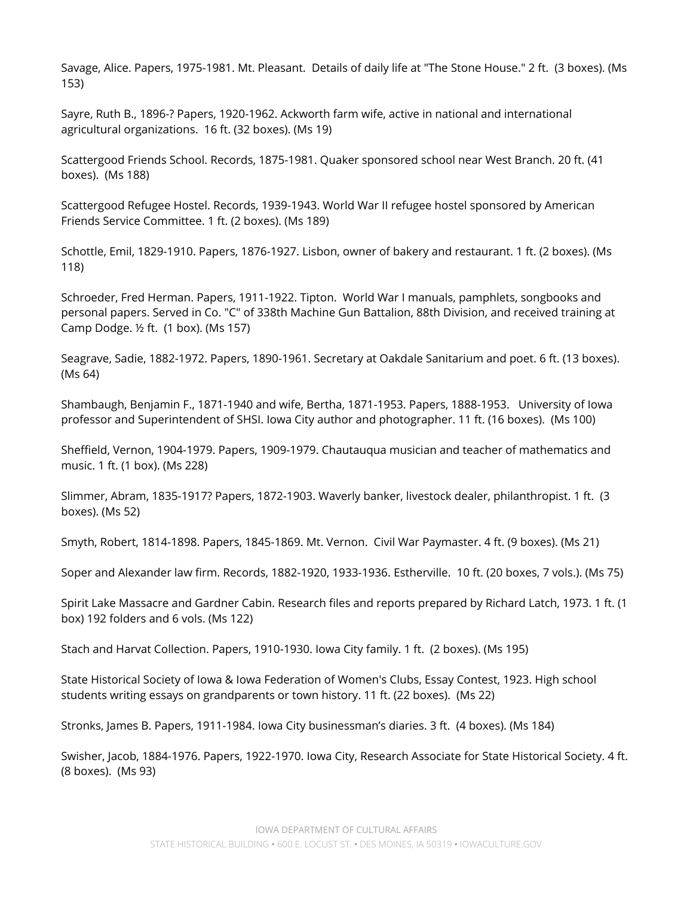Savage, Alice. Papers, 1975-1981. Mt. Pleasant. Details of daily life at "The Stone House." 2 ft. (3 boxes). (Ms 153)

 Sayre, Ruth B., 1896-? Papers, 1920-1962. Ackworth farm wife, active in national and international agricultural organizations. 16 ft. (32 boxes). (Ms 19)

 Scattergood Friends School. Records, 1875-1981. Quaker sponsored school near West Branch. 20 ft. (41 boxes). (Ms 188)

 Scattergood Refugee Hostel. Records, 1939-1943. World War II refugee hostel sponsored by American Friends Service Committee. 1 ft. (2 boxes). (Ms 189)

 Schottle, Emil, 1829-1910. Papers, 1876-1927. Lisbon, owner of bakery and restaurant. 1 ft. (2 boxes). (Ms 118)

 Schroeder, Fred Herman. Papers, 1911-1922. Tipton. World War I manuals, pamphlets, songbooks and personal papers. Served in Co. "C" of 338th Machine Gun Battalion, 88th Division, and received training at Camp Dodge. ½ ft. (1 box). (Ms 157)

 Seagrave, Sadie, 1882-1972. Papers, 1890-1961. Secretary at Oakdale Sanitarium and poet. 6 ft. (13 boxes). (Ms 64)

 Shambaugh, Benjamin F., 1871-1940 and wife, Bertha, 1871-1953. Papers, 1888-1953. University of Iowa professor and Superintendent of SHSI. Iowa City author and photographer. 11 ft. (16 boxes). (Ms 100)

 Sheffield, Vernon, 1904-1979. Papers, 1909-1979. Chautauqua musician and teacher of mathematics and music. 1 ft. (1 box). (Ms 228)

 Slimmer, Abram, 1835-1917? Papers, 1872-1903. Waverly banker, livestock dealer, philanthropist. 1 ft. (3 boxes). (Ms 52)

Smyth, Robert, 1814-1898. Papers, 1845-1869. Mt. Vernon. Civil War Paymaster. 4 ft. (9 boxes). (Ms 21)

Soper and Alexander law firm. Records, 1882-1920, 1933-1936. Estherville. 10 ft. (20 boxes, 7 vols.). (Ms 75)

 Spirit Lake Massacre and Gardner Cabin. Research files and reports prepared by Richard Latch, 1973. 1 ft. (1 box) 192 folders and 6 vols. (Ms 122)

Stach and Harvat Collection. Papers, 1910-1930. Iowa City family. 1 ft. (2 boxes). (Ms 195)

 State Historical Society of Iowa & Iowa Federation of Women's Clubs, Essay Contest, 1923. High school students writing essays on grandparents or town history. 11 ft. (22 boxes). (Ms 22)

Stronks, James B. Papers, 1911-1984. Iowa City businessman's diaries. 3 ft. (4 boxes). (Ms 184)

 Swisher, Jacob, 1884-1976. Papers, 1922-1970. Iowa City, Research Associate for State Historical Society. 4 ft. (8 boxes). (Ms 93)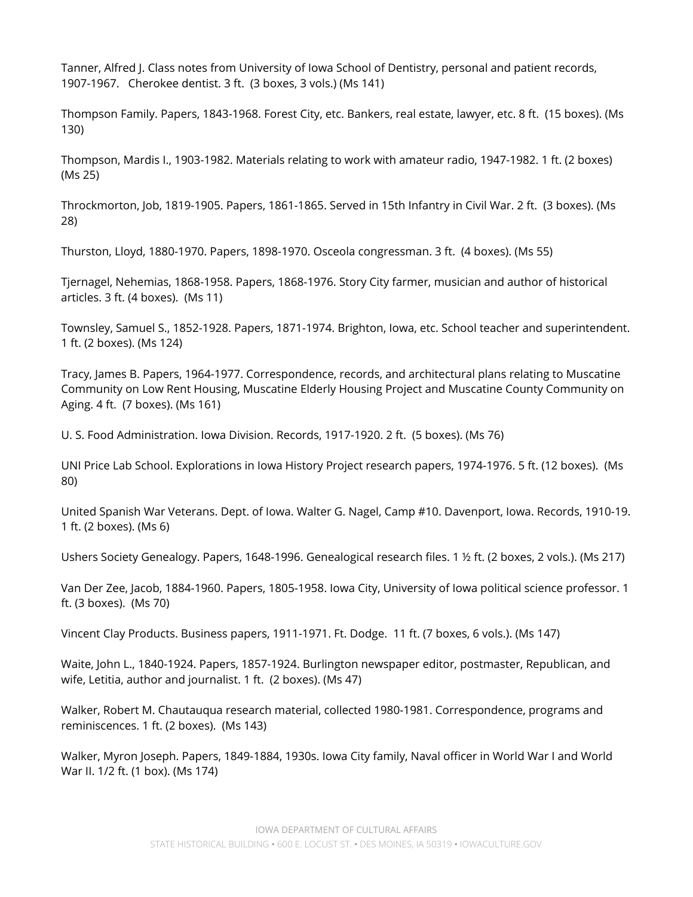Tanner, Alfred J. Class notes from University of Iowa School of Dentistry, personal and patient records, 1907-1967. Cherokee dentist. 3 ft. (3 boxes, 3 vols.) (Ms 141)

 Thompson Family. Papers, 1843-1968. Forest City, etc. Bankers, real estate, lawyer, etc. 8 ft. (15 boxes). (Ms 130)

 Thompson, Mardis I., 1903-1982. Materials relating to work with amateur radio, 1947-1982. 1 ft. (2 boxes) (Ms 25)

 Throckmorton, Job, 1819-1905. Papers, 1861-1865. Served in 15th Infantry in Civil War. 2 ft. (3 boxes). (Ms 28)

Thurston, Lloyd, 1880-1970. Papers, 1898-1970. Osceola congressman. 3 ft. (4 boxes). (Ms 55)

 Tjernagel, Nehemias, 1868-1958. Papers, 1868-1976. Story City farmer, musician and author of historical articles. 3 ft. (4 boxes). (Ms 11)

 Townsley, Samuel S., 1852-1928. Papers, 1871-1974. Brighton, Iowa, etc. School teacher and superintendent. 1 ft. (2 boxes). (Ms 124)

 Tracy, James B. Papers, 1964-1977. Correspondence, records, and architectural plans relating to Muscatine Community on Low Rent Housing, Muscatine Elderly Housing Project and Muscatine County Community on Aging. 4 ft. (7 boxes). (Ms 161)

U. S. Food Administration. Iowa Division. Records, 1917-1920. 2 ft. (5 boxes). (Ms 76)

 UNI Price Lab School. Explorations in Iowa History Project research papers, 1974-1976. 5 ft. (12 boxes). (Ms 80)

 United Spanish War Veterans. Dept. of Iowa. Walter G. Nagel, Camp #10. Davenport, Iowa. Records, 1910-19. 1 ft. (2 boxes). (Ms 6)

Ushers Society Genealogy. Papers, 1648-1996. Genealogical research files. 1 ½ ft. (2 boxes, 2 vols.). (Ms 217)

 Van Der Zee, Jacob, 1884-1960. Papers, 1805-1958. Iowa City, University of Iowa political science professor. 1 ft. (3 boxes). (Ms 70)

Vincent Clay Products. Business papers, 1911-1971. Ft. Dodge. 11 ft. (7 boxes, 6 vols.). (Ms 147)

 Waite, John L., 1840-1924. Papers, 1857-1924. Burlington newspaper editor, postmaster, Republican, and wife, Letitia, author and journalist. 1 ft. (2 boxes). (Ms 47)

 Walker, Robert M. Chautauqua research material, collected 1980-1981. Correspondence, programs and reminiscences. 1 ft. (2 boxes). (Ms 143)

 Walker, Myron Joseph. Papers, 1849-1884, 1930s. Iowa City family, Naval officer in World War I and World War II. 1/2 ft. (1 box). (Ms 174)